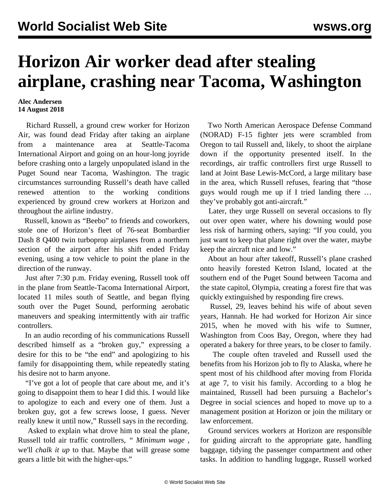## **Horizon Air worker dead after stealing airplane, crashing near Tacoma, Washington**

## **Alec Andersen 14 August 2018**

 Richard Russell, a ground crew worker for Horizon Air, was found dead Friday after taking an airplane from a maintenance area at Seattle-Tacoma International Airport and going on an hour-long joyride before crashing onto a largely unpopulated island in the Puget Sound near Tacoma, Washington. The tragic circumstances surrounding Russell's death have called renewed attention to the working conditions experienced by ground crew workers at Horizon and throughout the airline industry.

 Russell, known as "Beebo" to friends and coworkers, stole one of Horizon's fleet of 76-seat Bombardier Dash 8 Q400 twin turboprop airplanes from a northern section of the airport after his shift ended Friday evening, using a tow vehicle to point the plane in the direction of the runway.

 Just after 7:30 p.m. Friday evening, Russell took off in the plane from Seattle-Tacoma International Airport, located 11 miles south of Seattle, and began flying south over the Puget Sound, performing aerobatic maneuvers and speaking intermittently with air traffic controllers.

 In an audio recording of his communications Russell described himself as a "broken guy," expressing a desire for this to be "the end" and apologizing to his family for disappointing them, while repeatedly stating his desire not to harm anyone.

 "I've got a lot of people that care about me, and it's going to disappoint them to hear I did this. I would like to apologize to each and every one of them. Just a broken guy, got a few screws loose, I guess. Never really knew it until now," Russell says in the recording.

 Asked to explain what drove him to steal the plane, Russell told air traffic controllers, *" Minimum wage ,* we'll *chalk it up* to that. Maybe that will grease some gears a little bit with the higher-ups."

 Two North American Aerospace Defense Command (NORAD) F-15 fighter jets were scrambled from Oregon to tail Russell and, likely, to shoot the airplane down if the opportunity presented itself. In the recordings, air traffic controllers first urge Russell to land at Joint Base Lewis-McCord, a large military base in the area, which Russell refuses, fearing that "those guys would rough me up if I tried landing there … they've probably got anti-aircraft."

 Later, they urge Russell on several occasions to fly out over open water, where his downing would pose less risk of harming others, saying: "If you could, you just want to keep that plane right over the water, maybe keep the aircraft nice and low."

 About an hour after takeoff, Russell's plane crashed onto heavily forested Ketron Island, located at the southern end of the Puget Sound between Tacoma and the state capitol, Olympia, creating a forest fire that was quickly extinguished by responding fire crews.

 Russel, 29, leaves behind his wife of about seven years, Hannah. He had worked for Horizon Air since 2015, when he moved with his wife to Sumner, Washington from Coos Bay, Oregon, where they had operated a bakery for three years, to be closer to family.

 The couple often traveled and Russell used the benefits from his Horizon job to fly to Alaska, where he spent most of his childhood after moving from Florida at age 7, to visit his family. According to a blog he maintained, Russell had been pursuing a Bachelor's Degree in social sciences and hoped to move up to a management position at Horizon or join the military or law enforcement.

 Ground services workers at Horizon are responsible for guiding aircraft to the appropriate gate, handling baggage, tidying the passenger compartment and other tasks. In addition to handling luggage, Russell worked